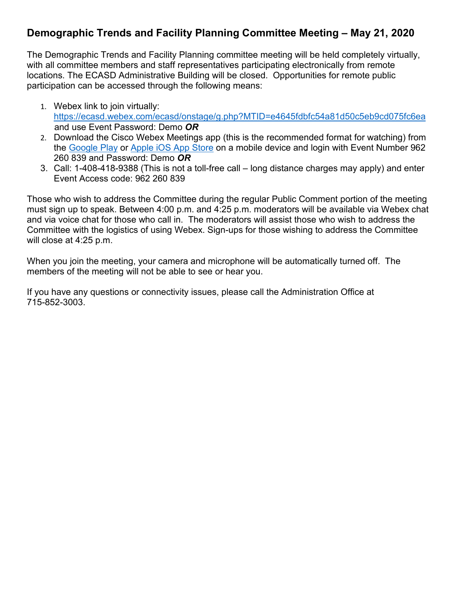## **Demographic Trends and Facility Planning Committee Meeting – May 21, 2020**

The Demographic Trends and Facility Planning committee meeting will be held completely virtually, with all committee members and staff representatives participating electronically from remote locations. The ECASD Administrative Building will be closed. Opportunities for remote public participation can be accessed through the following means:

- 1. Webex link to join virtually: <https://ecasd.webex.com/ecasd/onstage/g.php?MTID=e4645fdbfc54a81d50c5eb9cd075fc6ea> and use Event Password: Demo *OR*
- 2. Download the Cisco Webex Meetings app (this is the recommended format for watching) from the [Google Play](https://play.google.com/store/apps/details?id=com.cisco.webex.meetings) or [Apple iOS App Store](https://itunes.apple.com/us/app/cisco-webex-meetings/id298844386) on a mobile device and login with Event Number 962 260 839 and Password: Demo *OR*
- 3. Call: 1-408-418-9388 (This is not a toll-free call long distance charges may apply) and enter Event Access code: 962 260 839

Those who wish to address the Committee during the regular Public Comment portion of the meeting must sign up to speak. Between 4:00 p.m. and 4:25 p.m. moderators will be available via Webex chat and via voice chat for those who call in. The moderators will assist those who wish to address the Committee with the logistics of using Webex. Sign-ups for those wishing to address the Committee will close at 4:25 p.m.

When you join the meeting, your camera and microphone will be automatically turned off. The members of the meeting will not be able to see or hear you.

If you have any questions or connectivity issues, please call the Administration Office at 715-852-3003.